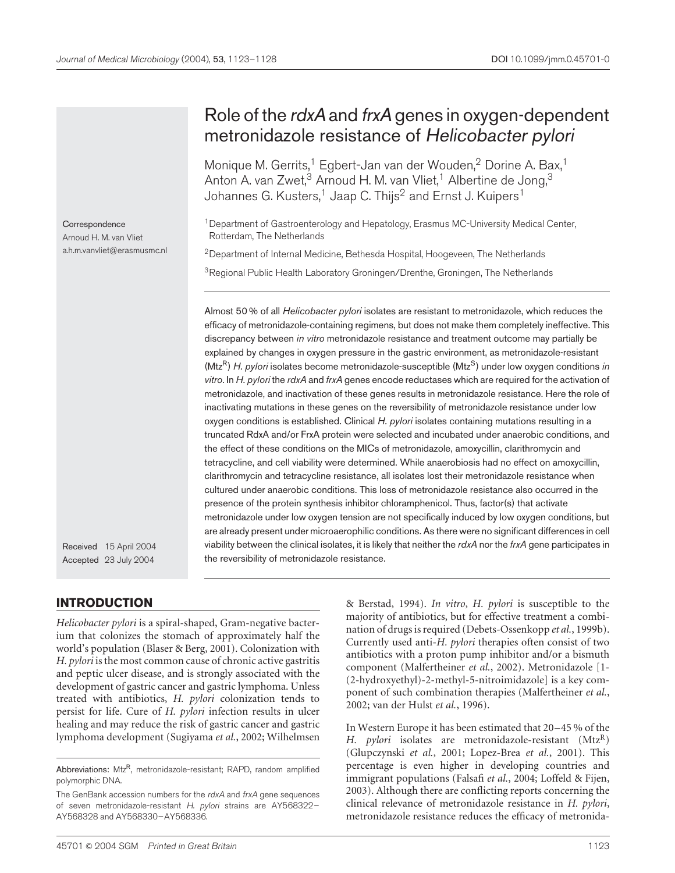# Role of the rdxA and frxA genes in oxygen-dependent metronidazole resistance of Helicobacter pylori

Monique M. Gerrits,<sup>1</sup> Egbert-Jan van der Wouden,<sup>2</sup> Dorine A. Bax,<sup>1</sup> Anton A. van Zwet, $3$  Arnoud H. M. van Vliet,<sup>1</sup> Albertine de Jong, $3$ Johannes G. Kusters,<sup>1</sup> Jaap C. Thijs<sup>2</sup> and Ernst J. Kuipers<sup>1</sup>

<sup>1</sup> Department of Gastroenterology and Hepatology, Erasmus MC-University Medical Center, Rotterdam, The Netherlands

<sup>2</sup> Department of Internal Medicine, Bethesda Hospital, Hoogeveen, The Netherlands

<sup>3</sup> Regional Public Health Laboratory Groningen/Drenthe, Groningen, The Netherlands

Almost 50 % of all Helicobacter pylori isolates are resistant to metronidazole, which reduces the efficacy of metronidazole-containing regimens, but does not make them completely ineffective. This discrepancy between in vitro metronidazole resistance and treatment outcome may partially be explained by changes in oxygen pressure in the gastric environment, as metronidazole-resistant  $(Mtz<sup>R</sup>)$  H. pylori isolates become metronidazole-susceptible  $(Mtz<sup>S</sup>)$  under low oxygen conditions in vitro. In H. pylori the rdxA and frxA genes encode reductases which are required for the activation of metronidazole, and inactivation of these genes results in metronidazole resistance. Here the role of inactivating mutations in these genes on the reversibility of metronidazole resistance under low oxygen conditions is established. Clinical H. pylori isolates containing mutations resulting in a truncated RdxA and/or FrxA protein were selected and incubated under anaerobic conditions, and the effect of these conditions on the MICs of metronidazole, amoxycillin, clarithromycin and tetracycline, and cell viability were determined. While anaerobiosis had no effect on amoxycillin, clarithromycin and tetracycline resistance, all isolates lost their metronidazole resistance when cultured under anaerobic conditions. This loss of metronidazole resistance also occurred in the presence of the protein synthesis inhibitor chloramphenicol. Thus, factor(s) that activate metronidazole under low oxygen tension are not specifically induced by low oxygen conditions, but are already present under microaerophilic conditions. As there were no significant differences in cell viability between the clinical isolates, it is likely that neither the  $rdxA$  nor the  $frxA$  gene participates in the reversibility of metronidazole resistance.

Received 15 April 2004 Accepted 23 July 2004

## INTRODUCTION

Helicobacter pylori is a spiral-shaped, Gram-negative bacterium that colonizes the stomach of approximately half the world's population [\(Blaser & Berg,](#page-4-0) 2001). Colonization with H. pylori is the most common cause of chronic active gastritis and peptic ulcer disease, and is strongly associated with the development of gastric cancer and gastric lymphoma. Unless treated with antibiotics, H. pylori colonization tends to persist for life. Cure of H. pylori infection results in ulcer healing and may reduce the risk of gastric cancer and gastric lymphoma development [\(Sugiyama](#page-5-0) et al., 2002[; Wilhelmsen](#page-5-0) & Berstad, 1994). In vitro, H. pylori is susceptible to the majority of antibiotics, but for effective treatment a combi-nation of drugs is required [\(Debets-Ossen](#page-4-0)kopp et al., 1999b). Currently used anti-H. pylori therapies often consist of two antibiotics with a proton pump inhibitor and/or a bismuth component [\(Malfertheiner](#page-5-0) et al., 2002). Metronidazole [1- (2-hydroxyethyl)-2-methyl-5-nitroimidazole] is a key component of such combination therapies [\(Malfertheiner](#page-5-0) et al., 2002[; van der Hulst](#page-5-0) et al., 1996).

In Western Europe it has been estimated that 20–45 % of the H. pylori isolates are metronidazole-resistant  $(Mtz<sup>R</sup>)$ [\(Glupczynski](#page-5-0) et al., 2001; [Lopez-Brea](#page-5-0) et al., 2001). This percentage is even higher in developing countries and immigrant populations [\(Falsafi](#page-5-0) et al., 2004; [Loffeld & Fije](#page-5-0)n, 2003). Although there are conflicting reports concerning the clinical relevance of metronidazole resistance in H. pylori, metronidazole resistance reduces the efficacy of metronida-

Arnoud H. M. van Vliet a.h.m.vanvliet@erasmusmc.nl

**Correspondence** 

Abbreviations: Mtz<sup>R</sup>, metronidazole-resistant; RAPD, random amplified polymorphic DNA.

The GenBank accession numbers for the rdxA and frxA gene sequences of seven metronidazole-resistant H. pylori strains are AY568322-AY568328 and AY568330–AY568336.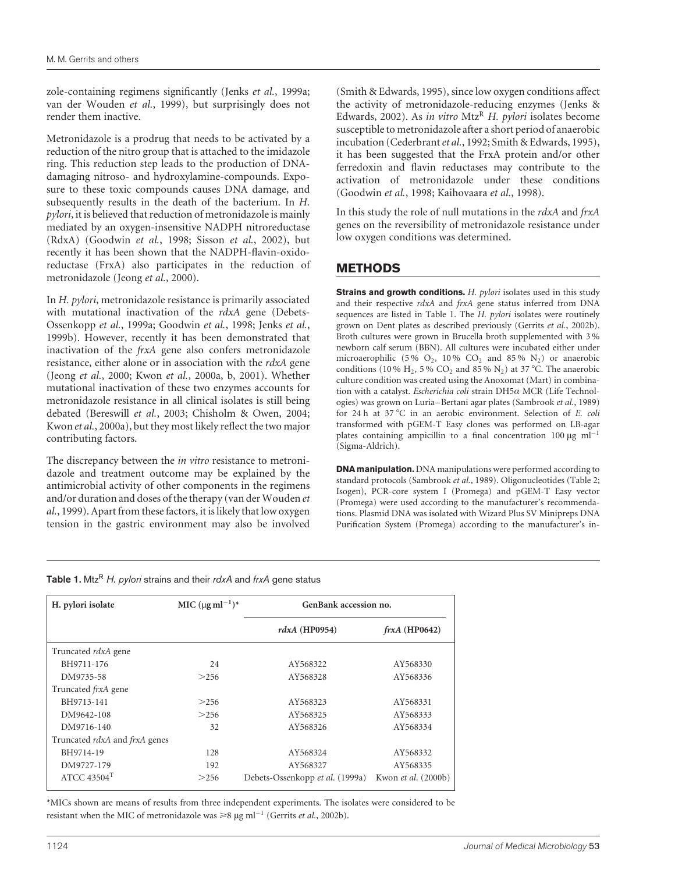zole-containing regimens significantly [\(Jenks](#page-5-0) et al., 1999a; [van der Wou](#page-5-0)den et al., 1999), but surprisingly does not render them inactive.

Metronidazole is a prodrug that needs to be activated by a reduction of the nitro group that is attached to the imidazole ring. This reduction step leads to the production of DNAdamaging nitroso- and hydroxylamine-compounds. Exposure to these toxic compounds causes DNA damage, and subsequently results in the death of the bacterium. In H. pylori, it is believed that reduction of metronidazole is mainly mediated by an oxygen-insensitive NADPH nitroreductase (RdxA) [\(Goodwin](#page-5-0) et al., 1998; [Sisson](#page-5-0) et al., 2002), but recently it has been shown that the NADPH-flavin-oxidoreductase (FrxA) also participates in the reduction of metronidazole [\(Jeong](#page-5-0) et al., 2000).

In H. pylori, metronidazole resistance is primarily associated with mutational inactivation of the rdxA gene [\(Debets-](#page-4-0)Ossenkopp et al., 1999a[; Goodwin](#page-5-0) et al., 1998; [Jenks](#page-5-0) et al., 1999b). However, recently it has been demonstrated that inactivation of the frxA gene also confers metronidazole resistance, either alone or in association with the rdxA gene [\(Jeong](#page-5-0) et al., 2000; [Kwon](#page-5-0) et al., 2000a, b, 2001). Whether mutational inactivation of these two enzymes accounts for metronidazole resistance in all clinical isolates is still being debated [\(Bereswill](#page-4-0) et al., 2003; [Chisholm &](#page-4-0) Owen, 2004; [Kwon](#page-5-0) et al., 2000a), but they most likely reflect the two major contributing factors.

The discrepancy between the *in vitro* resistance to metronidazole and treatment outcome may be explained by the antimicrobial activity of other components in the regimens and/or duration and doses of the therapy [\(van der Woud](#page-5-0)en et al., 1999). Apart from these factors, it is likely that low oxygen tension in the gastric environment may also be involved

[\(Smith & Edwa](#page-5-0)rds, 1995), since low oxygen conditions affect the activity of metronidazole-reducing enzymes [\(Jenks &](#page-5-0) Edwards, 2002). As in vitro Mtz<sup>R</sup> H. pylori isolates become susceptible to metronidazole after a short period of anaerobic incubation [\(Cederbrant](#page-4-0) et al., 1992[; Smith & Edwa](#page-5-0)rds, 1995), it has been suggested that the FrxA protein and/or other ferredoxin and flavin reductases may contribute to the activation of metronidazole under these conditions [\(Goodwin](#page-5-0) et al., 1998[; Kaihovaara](#page-5-0) et al., 1998).

In this study the role of null mutations in the rdxA and frxA genes on the reversibility of metronidazole resistance under low oxygen conditions was determined.

## METHODS

Strains and growth conditions. H. pylori isolates used in this study and their respective rdxA and frxA gene status inferred from DNA sequences are listed in Table 1. The H. pylori isolates were routinely grown on Dent plates as described previously [\(Gerrits](#page-5-0) et al., 2002b). Broth cultures were grown in Brucella broth supplemented with 3 % newborn calf serum (BBN). All cultures were incubated either under microaerophilic (5%  $O_2$ , 10%  $CO_2$  and 85%  $N_2$ ) or anaerobic conditions (10 % H<sub>2</sub>, 5 % CO<sub>2</sub> and 85 % N<sub>2</sub>) at 37 °C. The anaerobic culture condition was created using the Anoxomat (Mart) in combination with a catalyst. Escherichia coli strain  $DH5\alpha$  MCR (Life Technologies) was grown on Luria–Bertani agar plates [\(Sambrook](#page-5-0) et al., 1989) for 24 h at 37 °C in an aerobic environment. Selection of E. coli transformed with pGEM-T Easy clones was performed on LB-agar plates containing ampicillin to a final concentration 100  $\mu$ g ml<sup>-1</sup> (Sigma-Aldrich).

**DNA manipulation.** DNA manipulations were performed according to standard protocols [\(Sambrook](#page-5-0) et al., 1989). Oligonucleotides [\(Table 2;](#page-2-0) Isogen), PCR-core system I (Promega) and pGEM-T Easy vector (Promega) were used according to the manufacturer's recommendations. Plasmid DNA was isolated with Wizard Plus SV Minipreps DNA Purification System (Promega) according to the manufacturer's in-

| Table 1. Mtz <sup>R</sup> H. pylori strains and their rdxA and frxA gene status |
|---------------------------------------------------------------------------------|
|---------------------------------------------------------------------------------|

| H. pylori isolate                           | MIC $(\mu g \, ml^{-1})^*$ |                                                        | GenBank accession no. |  |  |
|---------------------------------------------|----------------------------|--------------------------------------------------------|-----------------------|--|--|
|                                             |                            | $rdxA$ (HP0954)                                        | $frxA$ (HP0642)       |  |  |
| Truncated rdxA gene                         |                            |                                                        |                       |  |  |
| BH9711-176                                  | 24                         | AY568322                                               | AY568330              |  |  |
| DM9735-58                                   | >256                       | AY568328                                               | AY568336              |  |  |
| Truncated <i>frxA</i> gene                  |                            |                                                        |                       |  |  |
| BH9713-141                                  | >256                       | AY568323                                               | AY568331              |  |  |
| DM9642-108                                  | >256                       | AY568325                                               | AY568333              |  |  |
| DM9716-140                                  | 32                         | AY568326                                               | AY568334              |  |  |
| Truncated <i>rdxA</i> and <i>frxA</i> genes |                            |                                                        |                       |  |  |
| BH9714-19                                   | 128                        | AY568324<br>AY568332                                   |                       |  |  |
| DM9727-179                                  | 192                        | AY568327                                               | AY568335              |  |  |
| ATCC $43504$ <sup>T</sup>                   | >256                       | Kwon et al. (2000b)<br>Debets-Ossenkopp et al. (1999a) |                       |  |  |

\*MICs shown are means of results from three independent experiments. The isolates were considered to be resistant when the MIC of metronidazole was  $\geq 8 \mu g$  ml<sup>-1</sup> (Gerrits *et al.*, 2002b).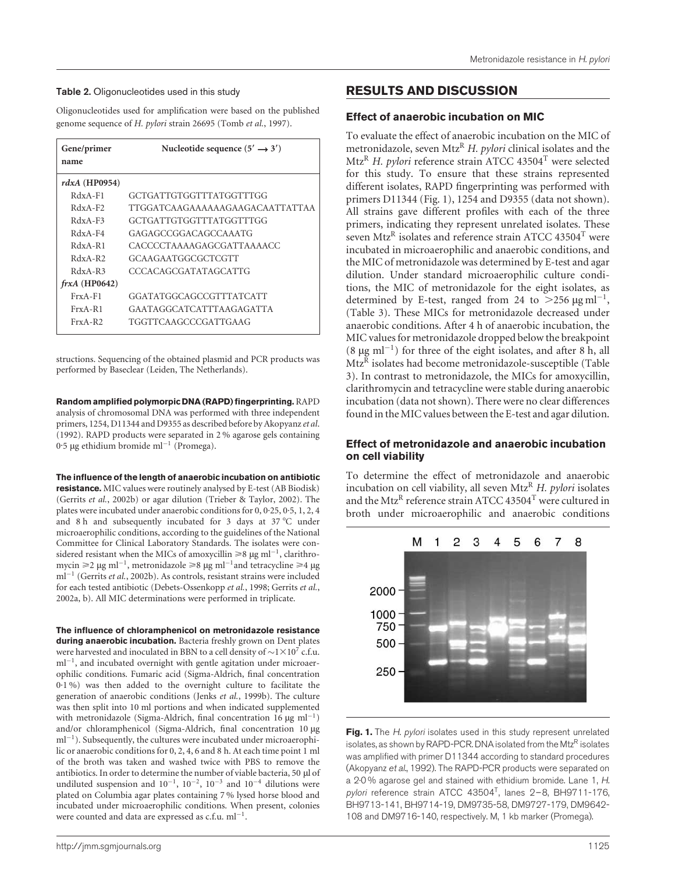#### <span id="page-2-0"></span>Table 2. Oligonucleotides used in this study

Oligonucleotides used for amplification were based on the published genome sequence of H. pylori strain 26695 (Tomb et al., 1997).

| Gene/primer<br>name | Nucleotide sequence $(5' \rightarrow 3')$ |
|---------------------|-------------------------------------------|
| $rdxA$ (HP0954)     |                                           |
| $RdxA-F1$           | GCTGATTGTGGTTTATGGTTTGG                   |
| $RdxA-F2$           | TTGGATCAAGAAAAAAGAAGACAATTATTAA           |
| $RdxA-F3$           | GCTGATTGTGGTTTATGGTTTGG                   |
| $RdxA-FA$           | GAGAGCCGGACAGCCAAATG                      |
| $RdxA-RI$           | CACCCCTAAAAGAGCGATTAAAACC                 |
| $RdxA- R2$          | GCAAGAATGGCGCTCGTT                        |
| $RdxA-R3$           | CCCACAGCGATATAGCATTG                      |
| $frxA$ (HP0642)     |                                           |
| $FxA-F1$            | GGATATGGCAGCCGTTTATCATT                   |
| $FrxA-R1$           | GAATAGGCATCATTTAAGAGATTA                  |
| $FrxA-R2$           | TGGTTCAAGCCCGATTGAAG                      |

structions. Sequencing of the obtained plasmid and PCR products was performed by Baseclear (Leiden, The Netherlands).

Random amplified polymorpic DNA (RAPD) fingerprinting. RAPD analysis of chromosomal DNA was performed with three independent primers, 1254, D11344 and D9355 as described before b[y Akopyanz](#page-4-0) et al. (1992). RAPD products were separated in 2 % agarose gels containing 0.5 µg ethidium bromide ml<sup>-1</sup> (Promega).

The influence of the length of anaerobic incubation on antibiotic

resistance. MIC values were routinely analysed by E-test (AB Biodisk) (Gerrits et al., 2002b) or agar dilution [\(Trieber & Taylo](#page-5-0)r, 2002). The [plates](#page-5-0) [were](#page-5-0) [incub](#page-5-0)ated under anaerobic conditions for 0, 0. 25, 0. 5, 1, 2, 4 and 8 h and subsequently incubated for 3 days at  $37^{\circ}$ C under microaerophilic conditions, according to the guidelines of the National Committee for Clinical Laboratory Standards. The isolates were considered resistant when the MICs of amoxycillin  $\geq 8 \mu g$  ml<sup>-1</sup>, clarithromycin  $\geq 2 \mu g$  ml<sup>-1</sup>, metronidazole  $\geq 8 \mu g$  ml<sup>-1</sup> and tetracycline  $\geq 4 \mu g$  $ml^{-1}$  [\(Gerrits](#page-5-0) et al., 2002b). As controls, resistant strains were included for each tested antibiotic [\(Debets-Ossenko](#page-4-0)pp et al., 1998[; Gerrits](#page-5-0) et al., 2002a, b). All MIC determinations were performed in triplicate.

The influence of chloramphenicol on metronidazole resistance during anaerobic incubation. Bacteria freshly grown on Dent plates were harvested and inoculated in BBN to a cell density of  $\sim$  1 $\times$  10<sup>7</sup> c.f.u.  $ml^{-1}$ , and incubated overnight with gentle agitation under microaerophilic conditions. Fumaric acid (Sigma-Aldrich, final concentration 0. 1 %) was then added to the overnight culture to facilitate the generation of anaerobic conditions (Jenks et al., 1999b). The culture was then split into 10 ml portions a[nd](#page-5-0) [when](#page-5-0) [indicate](#page-5-0)d supplemented with metronidazole (Sigma-Aldrich, final concentration 16  $\mu$ g ml<sup>-1</sup>) and/or chloramphenicol (Sigma-Aldrich, final concentration 10 µg  $ml^{-1}$ ). Subsequently, the cultures were incubated under microaerophilic or anaerobic conditions for 0, 2, 4, 6 and 8 h. At each time point 1 ml of the broth was taken and washed twice with PBS to remove the antibiotics. In order to determine the number of viable bacteria, 50  $\mu$ l of undiluted suspension and  $10^{-1}$ ,  $10^{-2}$ ,  $10^{-3}$  and  $10^{-4}$  dilutions were plated on Columbia agar plates containing 7 % lysed horse blood and incubated under microaerophilic conditions. When present, colonies were counted and data are expressed as  $c.f.u. ml^{-1}$ .

# RESULTS AND DISCUSSION

#### Effect of anaerobic incubation on MIC

To evaluate the effect of anaerobic incubation on the MIC of metronidazole, seven Mtz<sup>R</sup> H. pylori clinical isolates and the Mtz<sup>R</sup> H. pylori reference strain ATCC 43504<sup>T</sup> were selected for this study. To ensure that these strains represented different isolates, RAPD fingerprinting was performed with primers D11344 (Fig. 1), 1254 and D9355 (data not shown). All strains gave different profiles with each of the three primers, indicating they represent unrelated isolates. These seven Mtz<sup>R</sup> isolates and reference strain ATCC 43504<sup>T</sup> were incubated in microaerophilic and anaerobic conditions, and the MIC of metronidazole was determined by E-test and agar dilution. Under standard microaerophilic culture conditions, the MIC of metronidazole for the eight isolates, as determined by E-test, ranged from 24 to  $>$ 256  $\mu$ g ml<sup>-1</sup>, [\(Table 3\).](#page-3-0) These MICs for metronidazole decreased under anaerobic conditions. After 4 h of anaerobic incubation, the MIC values for metronidazole dropped below the breakpoint  $(8 \mu g \text{ ml}^{-1})$  for three of the eight isolates, and after 8 h, all Mtz<sup>R</sup> isolates had become metronidazole-susceptible [\(Table](#page-3-0) 3). In contrast to metronidazole, the MICs for amoxycillin, clarithromycin and tetracycline were stable during anaerobic incubation (data not shown). There were no clear differences found in the MIC values between the E-test and agar dilution.

## Effect of metronidazole and anaerobic incubation on cell viability

To determine the effect of metronidazole and anaerobic incubation on cell viability, all seven Mtz<sup>R</sup> H. pylori isolates and the Mtz<sup>R</sup> reference strain ATCC 43504<sup>T</sup> were cultured in broth under microaerophilic and anaerobic conditions



Fig. 1. The H. pylori isolates used in this study represent unrelated isolates, as shown by RAPD-PCR. DNA isolated from the Mtz<sup>R</sup> isolates was amplified with primer D11344 according to standard procedures (Akopyanz et al., 1992). The RAPD-PCR products were separated on a 2<sup>.</sup>0% agarose gel and stained with ethidium bromide. Lane 1, H. pylori reference strain ATCC 43504<sup>T</sup>, lanes 2-8, BH9711-176, BH9713-141, BH9714-19, DM9735-58, DM9727-179, DM9642- 108 and DM9716-140, respectively. M, 1 kb marker (Promega).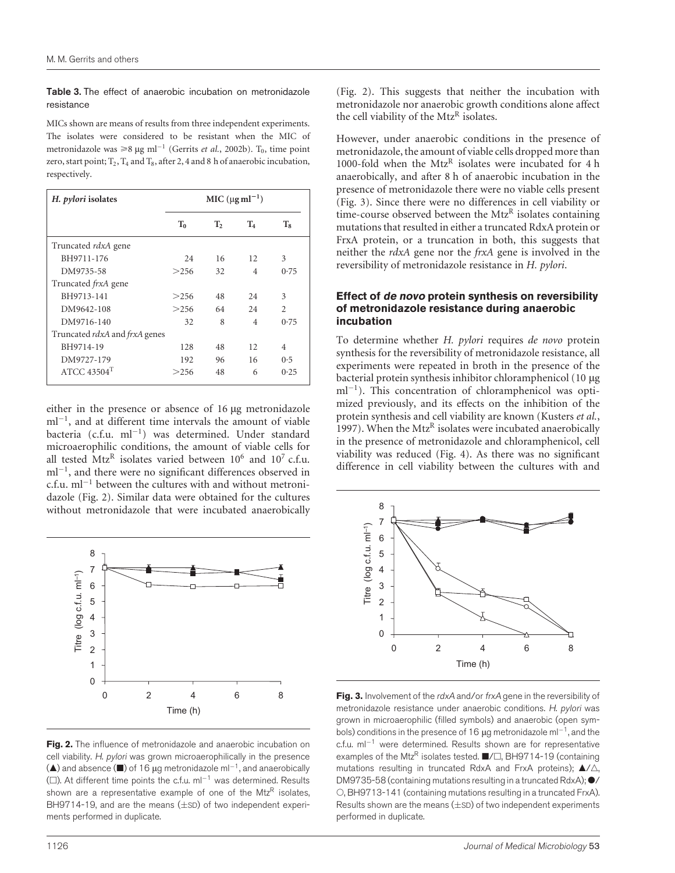<span id="page-3-0"></span>Table 3. The effect of anaerobic incubation on metronidazole resistance

MICs shown are means of results from three independent experiments. The isolates were considered to be resistant when the MIC of metronidazole was  $\geq 8 \mu g$  ml<sup>-1</sup> (Gerrits *et al.*, 2002b). T<sub>0</sub>, time point zero, start point;  $T_2$ ,  $T_4$  and  $T_8$ , after 2, 4 and 8 h of anaerobic incubation, respectively.

| H. pylori isolates            | $MIC (µg ml-1)$ |                |                |                |  |
|-------------------------------|-----------------|----------------|----------------|----------------|--|
|                               | $T_0$           | $\mathbf{T}_2$ | $T_4$          | $T_8$          |  |
| Truncated <i>rdxA</i> gene    |                 |                |                |                |  |
| BH9711-176                    | 24              | 16             | 12             | 3              |  |
| DM9735-58                     | >256            | 32             | $\overline{4}$ | 0.75           |  |
| Truncated <i>frxA</i> gene    |                 |                |                |                |  |
| BH9713-141                    | >256            | 48             | 2.4            | 3              |  |
| DM9642-108                    | >256            | 64             | 24             | $\mathfrak{D}$ |  |
| DM9716-140                    | 32              | 8              | 4              | 0.75           |  |
| Truncated rdxA and frxA genes |                 |                |                |                |  |
| BH9714-19                     | 128             | 48             | 12             | 4              |  |
| DM9727-179                    | 192             | 96             | 16             | 0.5            |  |
| ATCC $43504$ <sup>T</sup>     | >256            | 48             | 6              | 0.25           |  |

either in the presence or absence of 16 µg metronidazole  $ml^{-1}$ , and at different time intervals the amount of viable bacteria (c.f.u.  $ml^{-1}$ ) was determined. Under standard microaerophilic conditions, the amount of viable cells for all tested  $Mtz^R$  isolates varied between  $10^6$  and  $10^7$  c.f.u.  $ml^{-1}$ , and there were no significant differences observed in c.f.u.  $ml^{-1}$  between the cultures with and without metronidazole (Fig. 2). Similar data were obtained for the cultures without metronidazole that were incubated anaerobically



Fig. 2. The influence of metronidazole and anaerobic incubation on cell viability. H. pylori was grown microaerophilically in the presence  $(\triangle)$  and absence  $(\square)$  of 16 µg metronidazole ml<sup>-1</sup>, and anaerobically ( $\square$ ). At different time points the c.f.u. ml<sup>-1</sup> was determined. Results shown are a representative example of one of the Mtz $R$  isolates, BH9714-19, and are the means  $(\pm$ SD) of two independent experiments performed in duplicate.

(Fig. 2). This suggests that neither the incubation with metronidazole nor anaerobic growth conditions alone affect the cell viability of the  $Mtz^R$  isolates.

However, under anaerobic conditions in the presence of metronidazole, the amount of viable cells dropped more than 1000-fold when the MtzR isolates were incubated for 4 h anaerobically, and after 8 h of anaerobic incubation in the presence of metronidazole there were no viable cells present (Fig. 3). Since there were no differences in cell viability or time-course observed between the  $Mtz^R$  isolates containing mutations that resulted in either a truncated RdxA protein or FrxA protein, or a truncation in both, this suggests that neither the rdxA gene nor the frxA gene is involved in the reversibility of metronidazole resistance in H. pylori.

#### Effect of de novo protein synthesis on reversibility of metronidazole resistance during anaerobic incubation

To determine whether H. pylori requires de novo protein synthesis for the reversibility of metronidazole resistance, all experiments were repeated in broth in the presence of the bacterial protein synthesis inhibitor chloramphenicol  $(10 \mu g)$  $ml^{-1}$ ). This concentration of chloramphenicol was optimized previously, and its effects on the inhibition of the protein synthesis and cell viability are known [\(Kusters](#page-5-0) et al., 1997). When the Mtz<sup>R</sup> isolates were incubated anaerobically in the presence of metronidazole and chloramphenicol, cell viability was reduced (Fig. 4). As there was no significant difference in cell viability between the cultures with and



Fig. 3. Involvement of the rdxA and/or frxA gene in the reversibility of metronidazole resistance under anaerobic conditions. H. pylori was grown in microaerophilic (filled symbols) and anaerobic (open symbols) conditions in the presence of 16  $\mu$ g metronidazole ml<sup>-1</sup>, and the c.f.u.  $ml^{-1}$  were determined. Results shown are for representative examples of the Mtz<sup>R</sup> isolates tested.  $\blacksquare/\square$ , BH9714-19 (containing mutations resulting in truncated RdxA and FrxA proteins);  $\blacktriangle/\triangle$ , DM9735-58 (containing mutations resulting in a truncated RdxA);  $\bullet/$ O, BH9713-141 (containing mutations resulting in a truncated FrxA). Results shown are the means  $(\pm$ SD) of two independent experiments performed in duplicate.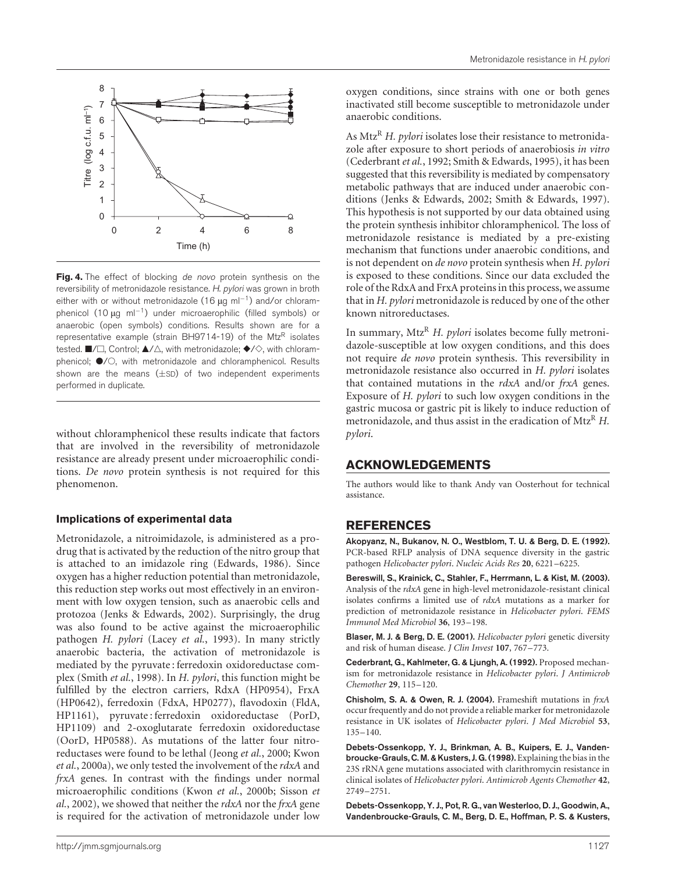<span id="page-4-0"></span>

Fig. 4. The effect of blocking de novo protein synthesis on the reversibility of metronidazole resistance. H. pylori was grown in broth either with or without metronidazole (16  $\mu$ g ml<sup>-1</sup>) and/or chloramphenicol  $(10 \mu g \text{ ml}^{-1})$  under microaerophilic (filled symbols) or anaerobic (open symbols) conditions. Results shown are for a representative example (strain BH9714-19) of the MtzR isolates tested.  $\blacksquare/\square$ , Control;  $\blacktriangle/\triangle$ , with metronidazole;  $\blacklozenge/\diamondsuit$ , with chloramphenicol;  $\bullet$ /O, with metronidazole and chloramphenicol. Results shown are the means  $(\pm sD)$  of two independent experiments performed in duplicate.

without chloramphenicol these results indicate that factors that are involved in the reversibility of metronidazole resistance are already present under microaerophilic conditions. De novo protein synthesis is not required for this phenomenon.

#### Implications of experimental data

Metronidazole, a nitroimidazole, is administered as a prodrug that is activated by the reduction of the nitro group that is attached to an imidazole ring [\(Edwards, 198](#page-5-0)6). Since oxygen has a higher reduction potential than metronidazole, this reduction step works out most effectively in an environment with low oxygen tension, such as anaerobic cells and protozoa [\(Jenks & Edwa](#page-5-0)rds, 2002). Surprisingly, the drug was also found to be active against the microaerophilic pathogen H. pylori [\(Lacey](#page-5-0) et al., 1993). In many strictly anaerobic bacteria, the activation of metronidazole is mediated by the pyruvate : ferredoxin oxidoreductase complex [\(Smith](#page-5-0) et al., 1998). In H. pylori, this function might be fulfilled by the electron carriers, RdxA (HP0954), FrxA (HP0642), ferredoxin (FdxA, HP0277), flavodoxin (FldA, HP1161), pyruvate : ferredoxin oxidoreductase (PorD, HP1109) and 2-oxoglutarate ferredoxin oxidoreductase (OorD, HP0588). As mutations of the latter four nitroreductases were found to be lethal [\(Jeong](#page-5-0) et al., 2000[; Kwon](#page-5-0) et al., 2000a), we only tested the involvement of the rdxA and frxA genes. In contrast with the findings under normal microaerophilic conditions [\(Kwon](#page-5-0) et al., 2000b; [Sisson](#page-5-0) et  $al$ , 2002), we showed that neither the  $rdxA$  nor the  $frxA$  gene is required for the activation of metronidazole under low

oxygen conditions, since strains with one or both genes inactivated still become susceptible to metronidazole under anaerobic conditions.

As Mtz<sup>R</sup> H. pylori isolates lose their resistance to metronidazole after exposure to short periods of anaerobiosis in vitro (Cederbrant et al., 1992[; Smith & Edwa](#page-5-0)rds, 1995), it has been suggested that this reversibility is mediated by compensatory metabolic pathways that are induced under anaerobic conditions [\(Jenks & Edwa](#page-5-0)rds, 2002; [Smith & Edw](#page-5-0)ards, 1997). This hypothesis is not supported by our data obtained using the protein synthesis inhibitor chloramphenicol. The loss of metronidazole resistance is mediated by a pre-existing mechanism that functions under anaerobic conditions, and is not dependent on *de novo* protein synthesis when H. pylori is exposed to these conditions. Since our data excluded the role of the RdxA and FrxA proteins in this process, we assume that in H. pylori metronidazole is reduced by one of the other known nitroreductases.

In summary, Mtz<sup>R</sup> H. pylori isolates become fully metronidazole-susceptible at low oxygen conditions, and this does not require de novo protein synthesis. This reversibility in metronidazole resistance also occurred in H. pylori isolates that contained mutations in the rdxA and/or frxA genes. Exposure of H. pylori to such low oxygen conditions in the gastric mucosa or gastric pit is likely to induce reduction of metronidazole, and thus assist in the eradication of  $Mtz^R$  H. pylori.

## ACKNOWLEDGEMENTS

The authors would like to thank Andy van Oosterhout for technical assistance.

## REFERENCES

Akopyanz, N., Bukanov, N. O., Westblom, T. U. & Berg, D. E. (1992). PCR-based RFLP analysis of DNA sequence diversity in the gastric pathogen Helicobacter pylori. Nucleic Acids Res 20, 6221–6225.

Bereswill, S., Krainick, C., Stahler, F., Herrmann, L. & Kist, M. (2003). Analysis of the rdxA gene in high-level metronidazole-resistant clinical isolates confirms a limited use of rdxA mutations as a marker for prediction of metronidazole resistance in Helicobacter pylori. FEMS Immunol Med Microbiol 36, 193–198.

Blaser, M. J. & Berg, D. E. (2001). Helicobacter pylori genetic diversity and risk of human disease. J Clin Invest 107, 767–773.

Cederbrant, G., Kahlmeter, G. & Ljungh, A. (1992). Proposed mechanism for metronidazole resistance in Helicobacter pylori. J Antimicrob Chemother 29, 115–120.

Chisholm, S. A. & Owen, R. J. (2004). Frameshift mutations in frxA occur frequently and do not provide a reliable marker for metronidazole resistance in UK isolates of Helicobacter pylori. J Med Microbiol 53, 135–140.

Debets-Ossenkopp, Y. J., Brinkman, A. B., Kuipers, E. J., Vandenbroucke-Grauls, C. M. & Kusters, J. G. (1998). Explaining the bias in the 23S rRNA gene mutations associated with clarithromycin resistance in clinical isolates of Helicobacter pylori. Antimicrob Agents Chemother 42, 2749–2751.

Debets-Ossenkopp, Y. J., Pot, R. G., van Westerloo, D. J., Goodwin, A., Vandenbroucke-Grauls, C. M., Berg, D. E., Hoffman, P. S. & Kusters,